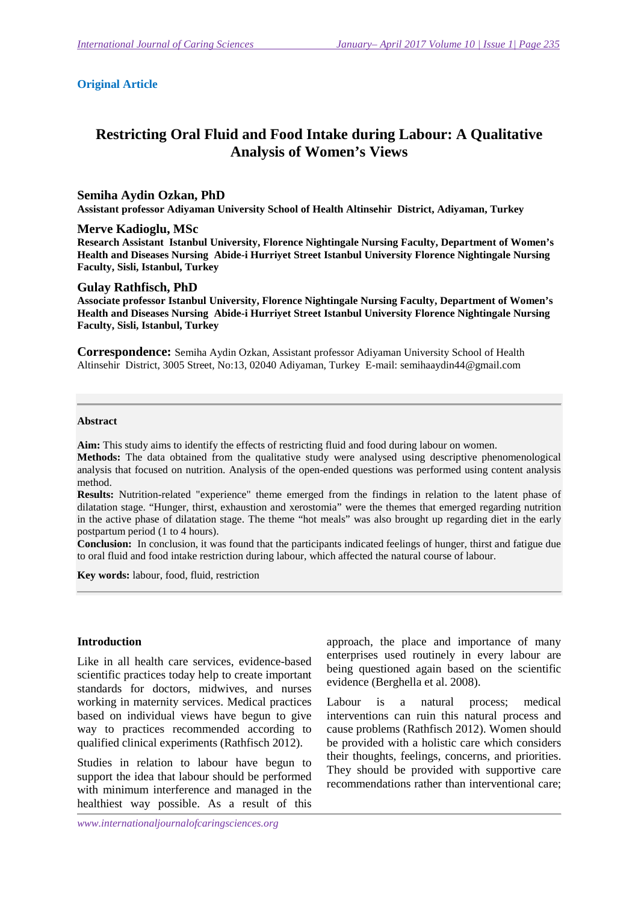#### **Original Article**

# **Restricting Oral Fluid and Food Intake during Labour: A Qualitative Analysis of Women's Views**

#### **Semiha Aydin Ozkan, PhD**

**Assistant professor Adiyaman University School of Health Altinsehir District, Adiyaman, Turkey** 

#### **Merve Kadioglu, MSc**

**Research Assistant Istanbul University, Florence Nightingale Nursing Faculty, Department of Women's Health and Diseases Nursing Abide-i Hurriyet Street Istanbul University Florence Nightingale Nursing Faculty, Sisli, Istanbul, Turkey** 

#### **Gulay Rathfisch, PhD**

**Associate professor Istanbul University, Florence Nightingale Nursing Faculty, Department of Women's Health and Diseases Nursing Abide-i Hurriyet Street Istanbul University Florence Nightingale Nursing Faculty, Sisli, Istanbul, Turkey** 

**Correspondence:** Semiha Aydin Ozkan, Assistant professor Adiyaman University School of Health Altinsehir District, 3005 Street, No:13, 02040 Adiyaman, Turkey E-mail: semihaaydin44@gmail.com

#### **Abstract**

**Aim:** This study aims to identify the effects of restricting fluid and food during labour on women.

**Methods:** The data obtained from the qualitative study were analysed using descriptive phenomenological analysis that focused on nutrition. Analysis of the open-ended questions was performed using content analysis method.

**Results:** Nutrition-related "experience" theme emerged from the findings in relation to the latent phase of dilatation stage. "Hunger, thirst, exhaustion and xerostomia" were the themes that emerged regarding nutrition in the active phase of dilatation stage. The theme "hot meals" was also brought up regarding diet in the early postpartum period (1 to 4 hours).

**Conclusion:** In conclusion, it was found that the participants indicated feelings of hunger, thirst and fatigue due to oral fluid and food intake restriction during labour, which affected the natural course of labour.

**Key words:** labour, food, fluid, restriction

### **Introduction**

Like in all health care services, evidence-based scientific practices today help to create important standards for doctors, midwives, and nurses working in maternity services. Medical practices based on individual views have begun to give way to practices recommended according to qualified clinical experiments (Rathfisch 2012).

Studies in relation to labour have begun to support the idea that labour should be performed with minimum interference and managed in the healthiest way possible. As a result of this

approach, the place and importance of many enterprises used routinely in every labour are being questioned again based on the scientific evidence (Berghella et al. 2008).

Labour is a natural process; medical interventions can ruin this natural process and cause problems (Rathfisch 2012). Women should be provided with a holistic care which considers their thoughts, feelings, concerns, and priorities. They should be provided with supportive care recommendations rather than interventional care;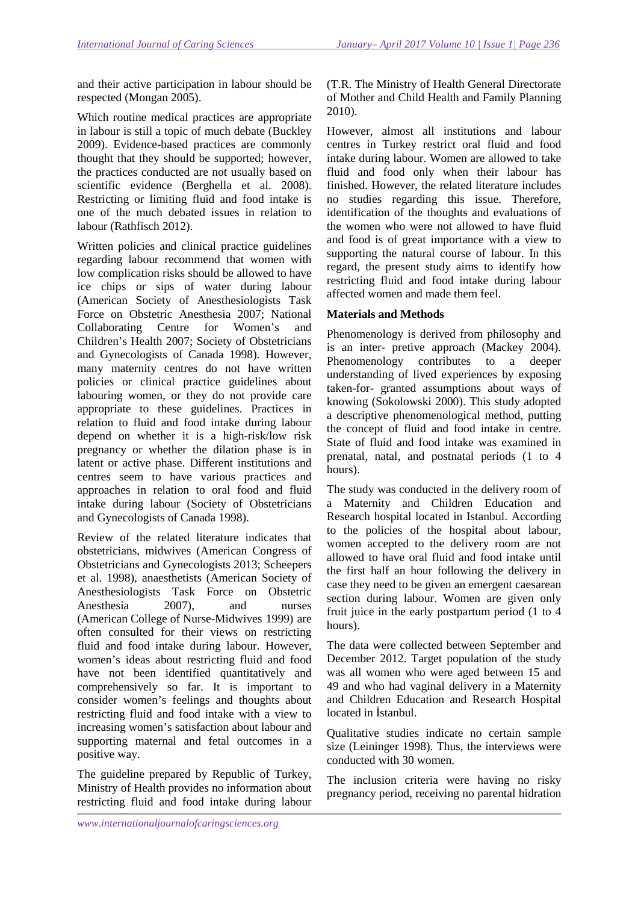and their active participation in labour should be respected (Mongan 2005).

Which routine medical practices are appropriate in labour is still a topic of much debate (Buckley 2009). Evidence-based practices are commonly thought that they should be supported; however, the practices conducted are not usually based on scientific evidence (Berghella et al. 2008). Restricting or limiting fluid and food intake is one of the much debated issues in relation to labour (Rathfisch 2012).

Written policies and clinical practice guidelines regarding labour recommend that women with low complication risks should be allowed to have ice chips or sips of water during labour (American Society of Anesthesiologists Task Force on Obstetric Anesthesia 2007; National Collaborating Centre for Women's and Children's Health 2007; Society of Obstetricians and Gynecologists of Canada 1998). However, many maternity centres do not have written policies or clinical practice guidelines about labouring women, or they do not provide care appropriate to these guidelines. Practices in relation to fluid and food intake during labour depend on whether it is a high-risk/low risk pregnancy or whether the dilation phase is in latent or active phase. Different institutions and centres seem to have various practices and approaches in relation to oral food and fluid intake during labour (Society of Obstetricians and Gynecologists of Canada 1998).

Review of the related literature indicates that obstetricians, midwives (American Congress of Obstetricians and Gynecologists 2013; Scheepers et al. 1998), anaesthetists (American Society of Anesthesiologists Task Force on Obstetric Anesthesia 2007), and nurses (American College of Nurse-Midwives 1999) are often consulted for their views on restricting fluid and food intake during labour. However, women's ideas about restricting fluid and food have not been identified quantitatively and comprehensively so far. It is important to consider women's feelings and thoughts about restricting fluid and food intake with a view to increasing women's satisfaction about labour and supporting maternal and fetal outcomes in a positive way.

The guideline prepared by Republic of Turkey, Ministry of Health provides no information about restricting fluid and food intake during labour (T.R. The Ministry of Health General Directorate of Mother and Child Health and Family Planning 2010).

However, almost all institutions and labour centres in Turkey restrict oral fluid and food intake during labour. Women are allowed to take fluid and food only when their labour has finished. However, the related literature includes no studies regarding this issue. Therefore, identification of the thoughts and evaluations of the women who were not allowed to have fluid and food is of great importance with a view to supporting the natural course of labour. In this regard, the present study aims to identify how restricting fluid and food intake during labour affected women and made them feel.

## **Materials and Methods**

Phenomenology is derived from philosophy and is an inter- pretive approach (Mackey 2004). Phenomenology contributes to a deeper understanding of lived experiences by exposing taken-for- granted assumptions about ways of knowing (Sokolowski 2000). This study adopted a descriptive phenomenological method, putting the concept of fluid and food intake in centre. State of fluid and food intake was examined in prenatal, natal, and postnatal periods (1 to 4 hours).

The study was conducted in the delivery room of a Maternity and Children Education and Research hospital located in Istanbul. According to the policies of the hospital about labour, women accepted to the delivery room are not allowed to have oral fluid and food intake until the first half an hour following the delivery in case they need to be given an emergent caesarean section during labour. Women are given only fruit juice in the early postpartum period (1 to 4 hours).

The data were collected between September and December 2012. Target population of the study was all women who were aged between 15 and 49 and who had vaginal delivery in a Maternity and Children Education and Research Hospital located in İstanbul.

Qualitative studies indicate no certain sample size (Leininger 1998). Thus, the interviews were conducted with 30 women.

The inclusion criteria were having no risky pregnancy period, receiving no parental hidration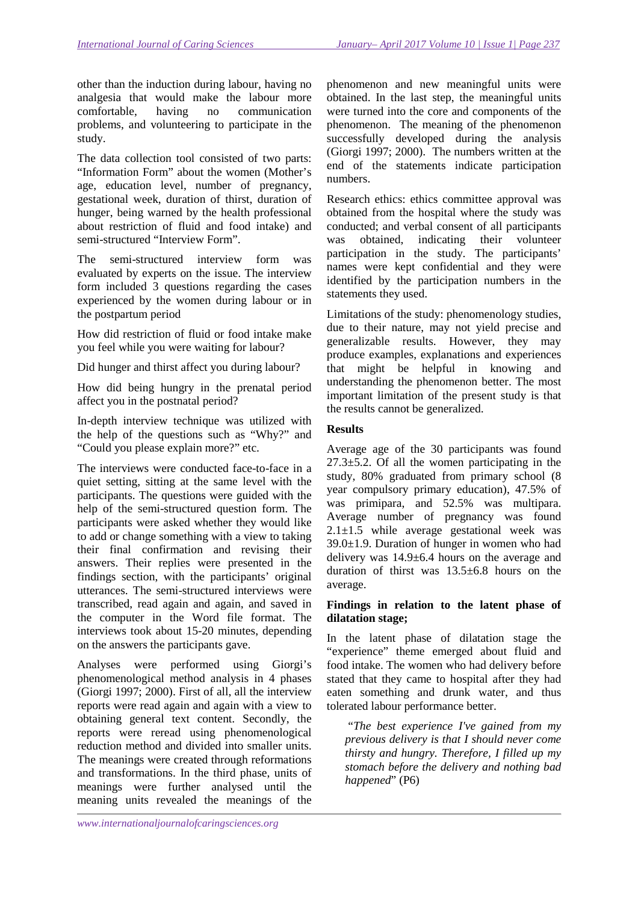other than the induction during labour, having no analgesia that would make the labour more comfortable, having no communication problems, and volunteering to participate in the study.

The data collection tool consisted of two parts: "Information Form" about the women (Mother's age, education level, number of pregnancy, gestational week, duration of thirst, duration of hunger, being warned by the health professional about restriction of fluid and food intake) and semi-structured "Interview Form".

The semi-structured interview form was evaluated by experts on the issue. The interview form included 3 questions regarding the cases experienced by the women during labour or in the postpartum period

How did restriction of fluid or food intake make you feel while you were waiting for labour?

Did hunger and thirst affect you during labour?

How did being hungry in the prenatal period affect you in the postnatal period?

In-depth interview technique was utilized with the help of the questions such as "Why?" and "Could you please explain more?" etc.

The interviews were conducted face-to-face in a quiet setting, sitting at the same level with the participants. The questions were guided with the help of the semi-structured question form. The participants were asked whether they would like to add or change something with a view to taking their final confirmation and revising their answers. Their replies were presented in the findings section, with the participants' original utterances. The semi-structured interviews were transcribed, read again and again, and saved in the computer in the Word file format. The interviews took about 15-20 minutes, depending on the answers the participants gave.

Analyses were performed using Giorgi's phenomenological method analysis in 4 phases (Giorgi 1997; 2000). First of all, all the interview reports were read again and again with a view to obtaining general text content. Secondly, the reports were reread using phenomenological reduction method and divided into smaller units. The meanings were created through reformations and transformations. In the third phase, units of meanings were further analysed until the meaning units revealed the meanings of the

phenomenon and new meaningful units were obtained. In the last step, the meaningful units were turned into the core and components of the phenomenon. The meaning of the phenomenon successfully developed during the analysis (Giorgi 1997; 2000). The numbers written at the end of the statements indicate participation numbers.

Research ethics: ethics committee approval was obtained from the hospital where the study was conducted; and verbal consent of all participants was obtained, indicating their volunteer participation in the study. The participants' names were kept confidential and they were identified by the participation numbers in the statements they used.

Limitations of the study: phenomenology studies, due to their nature, may not yield precise and generalizable results. However, they may produce examples, explanations and experiences that might be helpful in knowing and understanding the phenomenon better. The most important limitation of the present study is that the results cannot be generalized.

## **Results**

Average age of the 30 participants was found 27.3±5.2. Of all the women participating in the study, 80% graduated from primary school (8 year compulsory primary education), 47.5% of was primipara, and 52.5% was multipara. Average number of pregnancy was found  $2.1 \pm 1.5$  while average gestational week was 39.0±1.9. Duration of hunger in women who had delivery was 14.9±6.4 hours on the average and duration of thirst was  $13.5\pm 6.8$  hours on the average.

## **Findings in relation to the latent phase of dilatation stage;**

In the latent phase of dilatation stage the "experience" theme emerged about fluid and food intake. The women who had delivery before stated that they came to hospital after they had eaten something and drunk water, and thus tolerated labour performance better.

 "*The best experience I've gained from my previous delivery is that I should never come thirsty and hungry. Therefore, I filled up my stomach before the delivery and nothing bad happened*" (P6)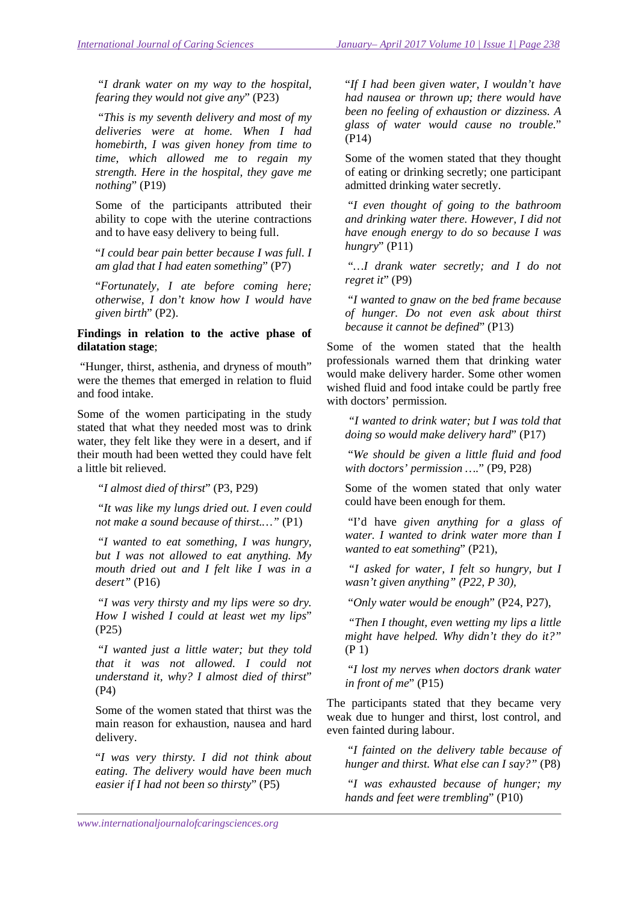"*I drank water on my way to the hospital, fearing they would not give any*" (P23)

 "*This is my seventh delivery and most of my deliveries were at home. When I had homebirth, I was given honey from time to time, which allowed me to regain my strength. Here in the hospital, they gave me nothing*" (P19)

Some of the participants attributed their ability to cope with the uterine contractions and to have easy delivery to being full.

"*I could bear pain better because I was full. I am glad that I had eaten something*" (P7)

"*Fortunately, I ate before coming here; otherwise, I don't know how I would have given birth*" (P2).

### **Findings in relation to the active phase of dilatation stage**;

 "Hunger, thirst, asthenia, and dryness of mouth" were the themes that emerged in relation to fluid and food intake.

Some of the women participating in the study stated that what they needed most was to drink water, they felt like they were in a desert, and if their mouth had been wetted they could have felt a little bit relieved.

"*I almost died of thirst*" (P3, P29)

"*It was like my lungs dried out. I even could not make a sound because of thirst.…"* (P1)

 "*I wanted to eat something, I was hungry, but I was not allowed to eat anything. My mouth dried out and I felt like I was in a desert"* (P16)

 "*I was very thirsty and my lips were so dry. How I wished I could at least wet my lips*" (P25)

 "*I wanted just a little water; but they told that it was not allowed. I could not understand it, why? I almost died of thirst*" (P4)

Some of the women stated that thirst was the main reason for exhaustion, nausea and hard delivery.

"*I was very thirsty. I did not think about eating. The delivery would have been much easier if I had not been so thirsty*" (P5)

"*If I had been given water, I wouldn't have had nausea or thrown up; there would have been no feeling of exhaustion or dizziness. A glass of water would cause no trouble.*" (P14)

Some of the women stated that they thought of eating or drinking secretly; one participant admitted drinking water secretly.

 "*I even thought of going to the bathroom and drinking water there. However, I did not have enough energy to do so because I was hungry*" (P11)

 "*…I drank water secretly; and I do not regret it*" (P9)

 "*I wanted to gnaw on the bed frame because of hunger. Do not even ask about thirst because it cannot be defined*" (P13)

Some of the women stated that the health professionals warned them that drinking water would make delivery harder. Some other women wished fluid and food intake could be partly free with doctors' permission.

 *"I wanted to drink water; but I was told that doing so would make delivery hard*" (P17)

 "*We should be given a little fluid and food with doctors' permission ….*" (P9, P28)

Some of the women stated that only water could have been enough for them.

 "I'd have *given anything for a glass of water. I wanted to drink water more than I wanted to eat something*" (P21),

 *"I asked for water, I felt so hungry, but I wasn't given anything" (P22, P 30),* 

"*Only water would be enough*" (P24, P27),

 *"Then I thought, even wetting my lips a little might have helped. Why didn't they do it?"* (P 1)

 "*I lost my nerves when doctors drank water in front of me*" (P15)

The participants stated that they became very weak due to hunger and thirst, lost control, and even fainted during labour.

"*I fainted on the delivery table because of hunger and thirst. What else can I say?"* (P8)

 "*I was exhausted because of hunger; my hands and feet were trembling*" (P10)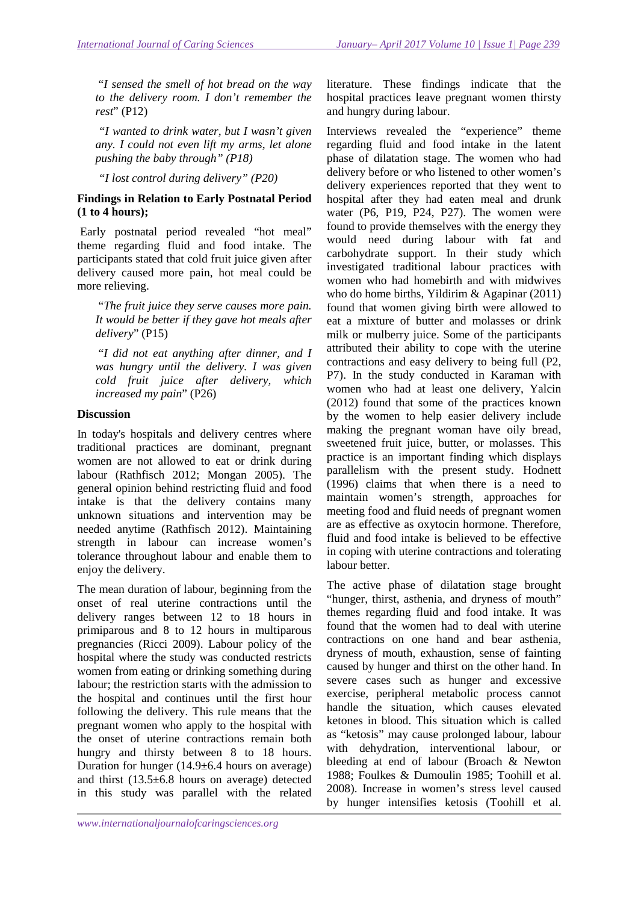"*I sensed the smell of hot bread on the way to the delivery room. I don't remember the rest*" (P12)

 *"I wanted to drink water, but I wasn't given any. I could not even lift my arms, let alone pushing the baby through" (P18)* 

 *"I lost control during delivery" (P20)* 

## **Findings in Relation to Early Postnatal Period (1 to 4 hours);**

 Early postnatal period revealed "hot meal" theme regarding fluid and food intake. The participants stated that cold fruit juice given after delivery caused more pain, hot meal could be more relieving.

 "*The fruit juice they serve causes more pain. It would be better if they gave hot meals after delivery*" (P15)

 "*I did not eat anything after dinner, and I was hungry until the delivery. I was given cold fruit juice after delivery, which increased my pain*" (P26)

### **Discussion**

In today's hospitals and delivery centres where traditional practices are dominant, pregnant women are not allowed to eat or drink during labour (Rathfisch 2012; Mongan 2005). The general opinion behind restricting fluid and food intake is that the delivery contains many unknown situations and intervention may be needed anytime (Rathfisch 2012). Maintaining strength in labour can increase women's tolerance throughout labour and enable them to enjoy the delivery.

The mean duration of labour, beginning from the onset of real uterine contractions until the delivery ranges between 12 to 18 hours in primiparous and 8 to 12 hours in multiparous pregnancies (Ricci 2009). Labour policy of the hospital where the study was conducted restricts women from eating or drinking something during labour; the restriction starts with the admission to the hospital and continues until the first hour following the delivery. This rule means that the pregnant women who apply to the hospital with the onset of uterine contractions remain both hungry and thirsty between 8 to 18 hours. Duration for hunger (14.9±6.4 hours on average) and thirst (13.5±6.8 hours on average) detected in this study was parallel with the related

Interviews revealed the "experience" theme regarding fluid and food intake in the latent phase of dilatation stage. The women who had delivery before or who listened to other women's delivery experiences reported that they went to hospital after they had eaten meal and drunk water (P6, P19, P24, P27). The women were found to provide themselves with the energy they would need during labour with fat and carbohydrate support. In their study which investigated traditional labour practices with women who had homebirth and with midwives who do home births, Yildirim & Agapinar (2011) found that women giving birth were allowed to eat a mixture of butter and molasses or drink milk or mulberry juice. Some of the participants attributed their ability to cope with the uterine contractions and easy delivery to being full (P2, P7). In the study conducted in Karaman with women who had at least one delivery, Yalcin (2012) found that some of the practices known by the women to help easier delivery include making the pregnant woman have oily bread, sweetened fruit juice, butter, or molasses. This practice is an important finding which displays parallelism with the present study. Hodnett (1996) claims that when there is a need to maintain women's strength, approaches for meeting food and fluid needs of pregnant women are as effective as oxytocin hormone. Therefore, fluid and food intake is believed to be effective in coping with uterine contractions and tolerating labour better.

The active phase of dilatation stage brought "hunger, thirst, asthenia, and dryness of mouth" themes regarding fluid and food intake. It was found that the women had to deal with uterine contractions on one hand and bear asthenia, dryness of mouth, exhaustion, sense of fainting caused by hunger and thirst on the other hand. In severe cases such as hunger and excessive exercise, peripheral metabolic process cannot handle the situation, which causes elevated ketones in blood. This situation which is called as "ketosis" may cause prolonged labour, labour with dehydration, interventional labour, or bleeding at end of labour (Broach & Newton 1988; Foulkes & Dumoulin 1985; Toohill et al. 2008). Increase in women's stress level caused by hunger intensifies ketosis (Toohill et al.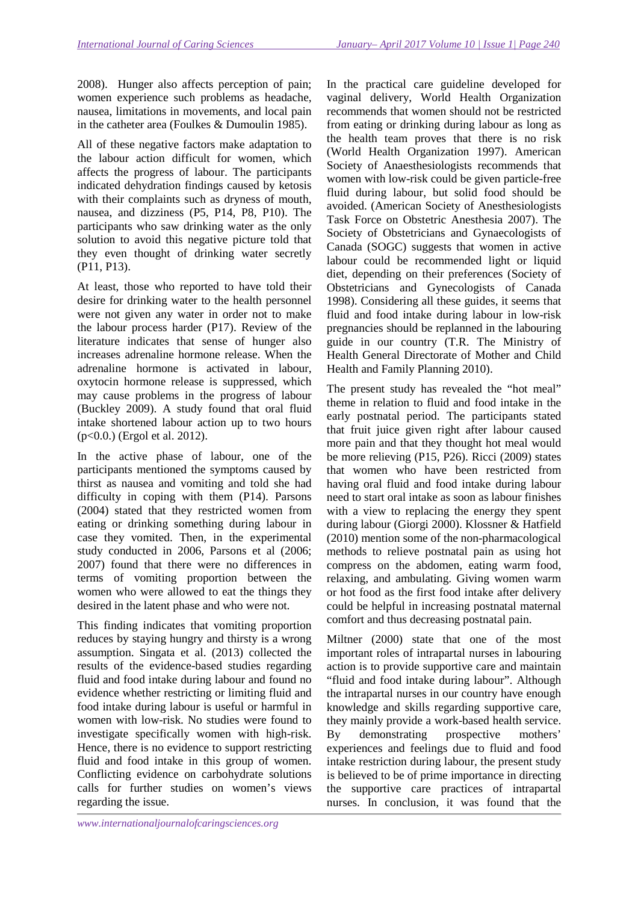2008). Hunger also affects perception of pain; women experience such problems as headache, nausea, limitations in movements, and local pain in the catheter area (Foulkes & Dumoulin 1985).

All of these negative factors make adaptation to the labour action difficult for women, which affects the progress of labour. The participants indicated dehydration findings caused by ketosis with their complaints such as dryness of mouth, nausea, and dizziness (P5, P14, P8, P10). The participants who saw drinking water as the only solution to avoid this negative picture told that they even thought of drinking water secretly (P11, P13).

At least, those who reported to have told their desire for drinking water to the health personnel were not given any water in order not to make the labour process harder (P17). Review of the literature indicates that sense of hunger also increases adrenaline hormone release. When the adrenaline hormone is activated in labour, oxytocin hormone release is suppressed, which may cause problems in the progress of labour (Buckley 2009). A study found that oral fluid intake shortened labour action up to two hours (p<0.0.) (Ergol et al. 2012).

In the active phase of labour, one of the participants mentioned the symptoms caused by thirst as nausea and vomiting and told she had difficulty in coping with them (P14). Parsons (2004) stated that they restricted women from eating or drinking something during labour in case they vomited. Then, in the experimental study conducted in 2006, Parsons et al (2006; 2007) found that there were no differences in terms of vomiting proportion between the women who were allowed to eat the things they desired in the latent phase and who were not.

This finding indicates that vomiting proportion reduces by staying hungry and thirsty is a wrong assumption. Singata et al. (2013) collected the results of the evidence-based studies regarding fluid and food intake during labour and found no evidence whether restricting or limiting fluid and food intake during labour is useful or harmful in women with low-risk. No studies were found to investigate specifically women with high-risk. Hence, there is no evidence to support restricting fluid and food intake in this group of women. Conflicting evidence on carbohydrate solutions calls for further studies on women's views regarding the issue.

In the practical care guideline developed for vaginal delivery, World Health Organization recommends that women should not be restricted from eating or drinking during labour as long as the health team proves that there is no risk (World Health Organization 1997). American Society of Anaesthesiologists recommends that women with low-risk could be given particle-free fluid during labour, but solid food should be avoided. (American Society of Anesthesiologists Task Force on Obstetric Anesthesia 2007). The Society of Obstetricians and Gynaecologists of Canada (SOGC) suggests that women in active labour could be recommended light or liquid diet, depending on their preferences (Society of Obstetricians and Gynecologists of Canada 1998). Considering all these guides, it seems that fluid and food intake during labour in low-risk pregnancies should be replanned in the labouring guide in our country (T.R. The Ministry of Health General Directorate of Mother and Child Health and Family Planning 2010).

The present study has revealed the "hot meal" theme in relation to fluid and food intake in the early postnatal period. The participants stated that fruit juice given right after labour caused more pain and that they thought hot meal would be more relieving (P15, P26). Ricci (2009) states that women who have been restricted from having oral fluid and food intake during labour need to start oral intake as soon as labour finishes with a view to replacing the energy they spent during labour (Giorgi 2000). Klossner & Hatfield (2010) mention some of the non-pharmacological methods to relieve postnatal pain as using hot compress on the abdomen, eating warm food, relaxing, and ambulating. Giving women warm or hot food as the first food intake after delivery could be helpful in increasing postnatal maternal comfort and thus decreasing postnatal pain.

Miltner (2000) state that one of the most important roles of intrapartal nurses in labouring action is to provide supportive care and maintain "fluid and food intake during labour". Although the intrapartal nurses in our country have enough knowledge and skills regarding supportive care, they mainly provide a work-based health service. By demonstrating prospective mothers' experiences and feelings due to fluid and food intake restriction during labour, the present study is believed to be of prime importance in directing the supportive care practices of intrapartal nurses. In conclusion, it was found that the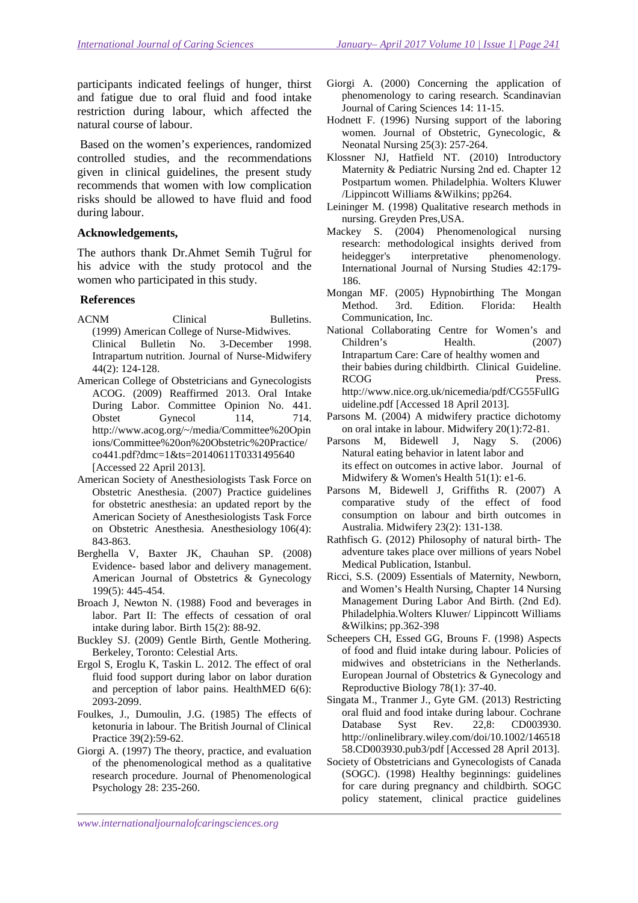participants indicated feelings of hunger, thirst and fatigue due to oral fluid and food intake restriction during labour, which affected the natural course of labour.

 Based on the women's experiences, randomized controlled studies, and the recommendations given in clinical guidelines, the present study recommends that women with low complication risks should be allowed to have fluid and food during labour.

### **Acknowledgements,**

The authors thank Dr.Ahmet Semih Tuğrul for his advice with the study protocol and the women who participated in this study.

### **References**

- ACNM Clinical Bulletins. (1999) American College of Nurse-Midwives. Clinical Bulletin No. 3-December 1998. Intrapartum nutrition. Journal of Nurse-Midwifery 44(2): 124-128.
- American College of Obstetricians and Gynecologists ACOG. (2009) Reaffirmed 2013. Oral Intake During Labor. Committee Opinion No. 441. Obstet Gynecol 114, 714. http://www.acog.org/~/media/Committee%20Opin ions/Committee%20on%20Obstetric%20Practice/ co441.pdf?dmc=1&ts=20140611T0331495640 [Accessed 22 April 2013].
- American Society of Anesthesiologists Task Force on Obstetric Anesthesia. (2007) Practice guidelines for obstetric anesthesia: an updated report by the American Society of Anesthesiologists Task Force on Obstetric Anesthesia. Anesthesiology 106(4): 843-863.
- Berghella V, Baxter JK, Chauhan SP. (2008) Evidence- based labor and delivery management. American Journal of Obstetrics & Gynecology 199(5): 445-454.
- Broach J, Newton N. (1988) Food and beverages in labor. Part II: The effects of cessation of oral intake during labor. Birth 15(2): 88-92.
- Buckley SJ. (2009) Gentle Birth, Gentle Mothering. Berkeley, Toronto: Celestial Arts.
- Ergol S, Eroglu K, Taskin L. 2012. The effect of oral fluid food support during labor on labor duration and perception of labor pains. HealthMED 6(6): 2093-2099.
- Foulkes, J., Dumoulin, J.G. (1985) The effects of ketonuria in labour. The British Journal of Clinical Practice 39(2):59-62.
- Giorgi A. (1997) The theory, practice, and evaluation of the phenomenological method as a qualitative research procedure. Journal of Phenomenological Psychology 28: 235-260.
- Giorgi A. (2000) Concerning the application of phenomenology to caring research. Scandinavian Journal of Caring Sciences 14: 11-15.
- Hodnett F. (1996) Nursing support of the laboring women. Journal of Obstetric, Gynecologic, & Neonatal Nursing 25(3): 257-264.
- Klossner NJ, Hatfield NT. (2010) Introductory Maternity & Pediatric Nursing 2nd ed. Chapter 12 Postpartum women. Philadelphia. Wolters Kluwer /Lippincott Williams &Wilkins; pp264.
- Leininger M. (1998) Qualitative research methods in nursing. Greyden Pres,USA.
- Mackey S. (2004) Phenomenological nursing research: methodological insights derived from heidegger's interpretative phenomenology. International Journal of Nursing Studies 42:179- 186.
- Mongan MF. (2005) Hypnobirthing The Mongan Method. 3rd. Edition. Florida: Health Communication, Inc.
- National Collaborating Centre for Women's and Children's Health. (2007) Intrapartum Care: Care of healthy women and their babies during childbirth. Clinical Guideline. RCOG Press. http://www.nice.org.uk/nicemedia/pdf/CG55FullG uideline.pdf [Accessed 18 April 2013].
- Parsons M. (2004) A midwifery practice dichotomy on oral intake in labour. Midwifery 20(1):72-81.
- Parsons M, Bidewell J, Nagy S. (2006) Natural eating behavior in latent labor and its effect on outcomes in active labor. Journal of Midwifery & Women's Health 51(1): e1-6.
- Parsons M, Bidewell J, Griffiths R. (2007) A comparative study of the effect of food consumption on labour and birth outcomes in Australia. Midwifery 23(2): 131-138.
- Rathfisch G. (2012) Philosophy of natural birth- The adventure takes place over millions of years Nobel Medical Publication, Istanbul.
- Ricci, S.S. (2009) Essentials of Maternity, Newborn, and Women's Health Nursing, Chapter 14 Nursing Management During Labor And Birth. (2nd Ed). Philadelphia.Wolters Kluwer/ Lippincott Williams &Wilkins; pp.362-398
- Scheepers CH, Essed GG, Brouns F. (1998) Aspects of food and fluid intake during labour. Policies of midwives and obstetricians in the Netherlands. European Journal of Obstetrics & Gynecology and Reproductive Biology 78(1): 37-40.
- Singata M., Tranmer J., Gyte GM. (2013) Restricting oral fluid and food intake during labour. Cochrane Database Syst Rev. 22,8: CD003930. http://onlinelibrary.wiley.com/doi/10.1002/146518 58.CD003930.pub3/pdf [Accessed 28 April 2013].
- Society of Obstetricians and Gynecologists of Canada (SOGC). (1998) Healthy beginnings: guidelines for care during pregnancy and childbirth. SOGC policy statement, clinical practice guidelines

*www.internationaljournalofcaringsciences.org*